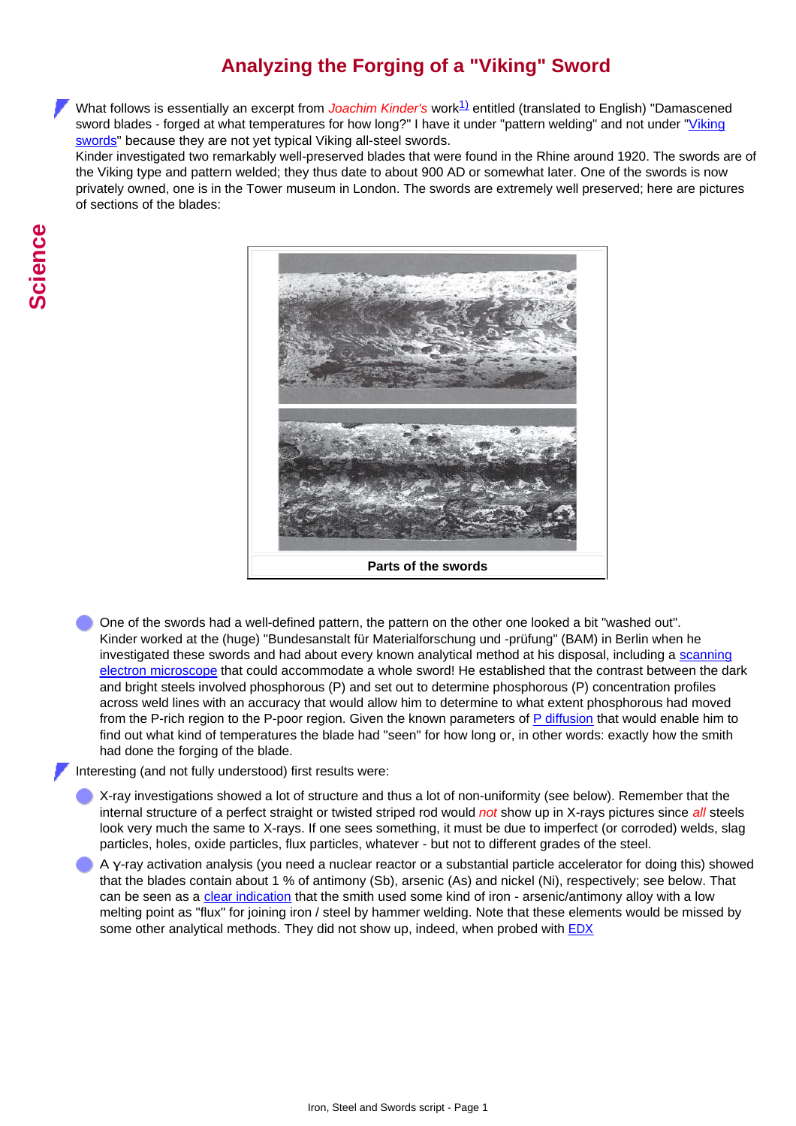## **Analyzing the Forging of a "Viking" Sword**

What follows is essentially an excerpt from *Joachim Kinder's* work<sup>[1\)](#page-2-0)</sup> entitled (translated to English) "Damascened sword blades - forged at what temperatures for how long?" I have it under "pattern welding" and not under "[Viking](http://www.tf.uni-kiel.de/matwis/amat/iss/kap_b/backbone/rb_4_1.html) [swords](http://www.tf.uni-kiel.de/matwis/amat/iss/kap_b/backbone/rb_4_1.html)" because they are not yet typical Viking all-steel swords.

Kinder investigated two remarkably well-preserved blades that were found in the Rhine around 1920. The swords are of the Viking type and pattern welded; they thus date to about 900 AD or somewhat later. One of the swords is now privately owned, one is in the Tower museum in London. The swords are extremely well preserved; here are pictures of sections of the blades:



One of the swords had a well-defined pattern, the pattern on the other one looked a bit "washed out". Kinder worked at the (huge) "Bundesanstalt für Materialforschung und -prüfung" (BAM) in Berlin when he investigated these swords and had about every known analytical method at his disposal, including a [scanning](http://www.tf.uni-kiel.de/matwis/amat/iss/kap_4/illustr/s4_1_1b.html) [electron microscope](http://www.tf.uni-kiel.de/matwis/amat/iss/kap_4/illustr/s4_1_1b.html) that could accommodate a whole sword! He established that the contrast between the dark and bright steels involved phosphorous (P) and set out to determine phosphorous (P) concentration profiles across weld lines with an accuracy that would allow him to determine to what extent phosphorous had moved from the P-rich region to the P-poor region. Given the known parameters of [P diffusion](http://www.tf.uni-kiel.de/matwis/amat/iss/kap_5/illustr/s5_2_3d.html) that would enable him to find out what kind of temperatures the blade had "seen" for how long or, in other words: exactly how the smith had done the forging of the blade.

Interesting (and not fully understood) first results were:

- X-ray investigations showed a lot of structure and thus a lot of non-uniformity (see below). Remember that the internal structure of a perfect straight or twisted striped rod would *not* show up in X-rays pictures since *all* steels look very much the same to X-rays. If one sees something, it must be due to imperfect (or corroded) welds, slag particles, holes, oxide particles, flux particles, whatever - but not to different grades of the steel.
- A γ-ray activation analysis (you need a nuclear reactor or a substantial particle accelerator for doing this) showed that the blades contain about 1 % of antimony (Sb), arsenic (As) and nickel (Ni), respectively; see below. That can be seen as a [clear indication](http://www.tf.uni-kiel.de/matwis/amat/iss/kap_b/advanced/ab_2_1.html#_1) that the smith used some kind of iron - arsenic/antimony alloy with a low melting point as "flux" for joining iron / steel by hammer welding. Note that these elements would be missed by some other analytical methods. They did not show up, indeed, when probed with **[EDX](http://www.tf.uni-kiel.de/matwis/amat/iss/kap_4/illustr/s4_1_1b.html#energy-dispersive x-ray spectroscopy)**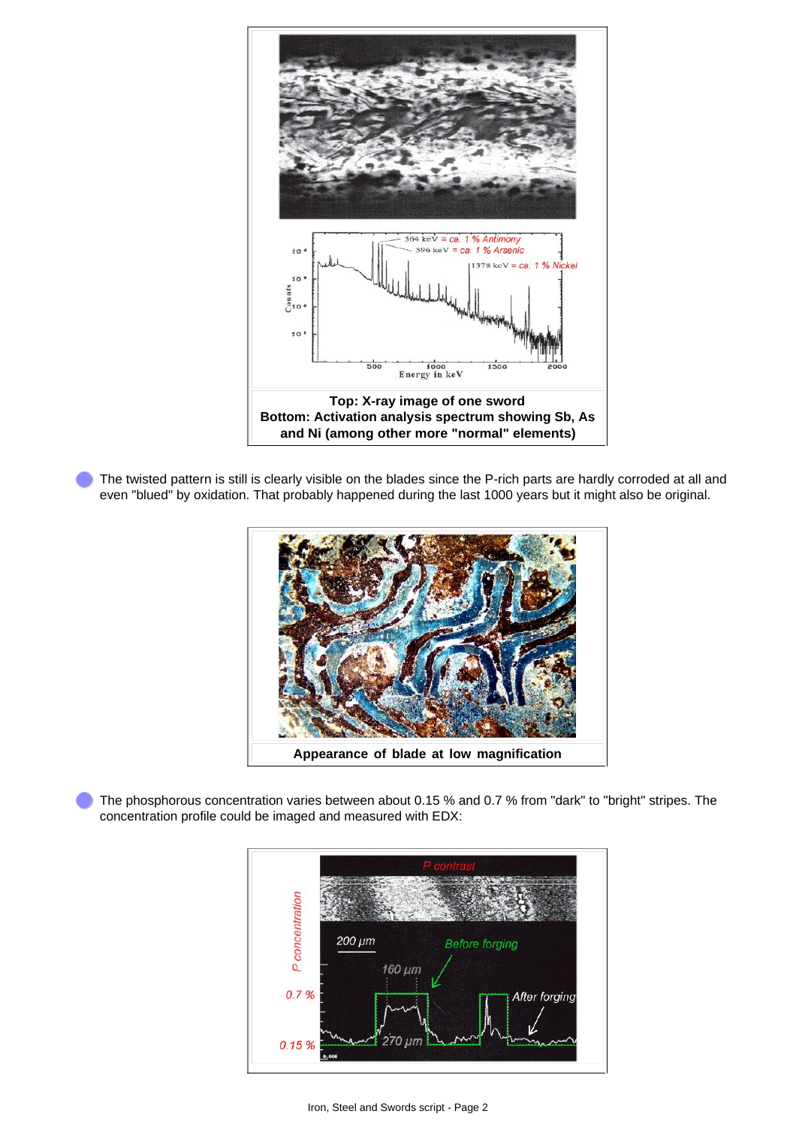

The twisted pattern is still is clearly visible on the blades since the P-rich parts are hardly corroded at all and even "blued" by oxidation. That probably happened during the last 1000 years but it might also be original.



The phosphorous concentration varies between about 0.15 % and 0.7 % from "dark" to "bright" stripes. The concentration profile could be imaged and measured with EDX: